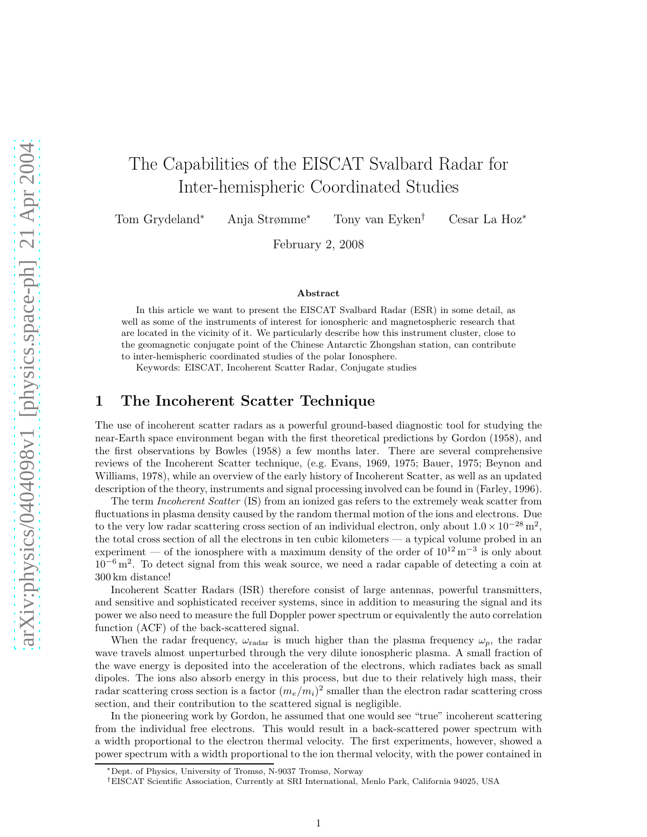# The Capabilities of the EISCAT Svalbard Radar for Inter-hemispheric Coordinated Studies

Tom Grydeland<sup>∗</sup> Anja Strømme<sup>∗</sup> Tony van Eyken† Cesar La Hoz<sup>∗</sup>

February 2, 2008

#### Abstract

In this article we want to present the EISCAT Svalbard Radar (ESR) in some detail, as well as some of the instruments of interest for ionospheric and magnetospheric research that are located in the vicinity of it. We particularly describe how this instrument cluster, close to the geomagnetic conjugate point of the Chinese Antarctic Zhongshan station, can contribute to inter-hemispheric coordinated studies of the polar Ionosphere.

Keywords: EISCAT, Incoherent Scatter Radar, Conjugate studies

#### 1 The Incoherent Scatter Technique

The use of incoherent scatter radars as a powerful ground-based diagnostic tool for studying the near-Earth space environment began with the first theoretical predictions by Gordon (1958), and the first observations by Bowles (1958) a few months later. There are several comprehensive reviews of the Incoherent Scatter technique, (e.g. Evans, 1969, 1975; Bauer, 1975; Beynon and Williams, 1978), while an overview of the early history of Incoherent Scatter, as well as an updated description of the theory, instruments and signal processing involved can be found in (Farley, 1996).

The term *Incoherent Scatter* (IS) from an ionized gas refers to the extremely weak scatter from fluctuations in plasma density caused by the random thermal motion of the ions and electrons. Due to the very low radar scattering cross section of an individual electron, only about  $1.0 \times 10^{-28}$  m<sup>2</sup>, the total cross section of all the electrons in ten cubic kilometers — a typical volume probed in an experiment — of the ionosphere with a maximum density of the order of  $10^{12} \text{ m}^{-3}$  is only about 10<sup>−</sup><sup>6</sup> m<sup>2</sup> . To detect signal from this weak source, we need a radar capable of detecting a coin at 300 km distance!

Incoherent Scatter Radars (ISR) therefore consist of large antennas, powerful transmitters, and sensitive and sophisticated receiver systems, since in addition to measuring the signal and its power we also need to measure the full Doppler power spectrum or equivalently the auto correlation function (ACF) of the back-scattered signal.

When the radar frequency,  $\omega_{\text{radar}}$  is much higher than the plasma frequency  $\omega_p$ , the radar wave travels almost unperturbed through the very dilute ionospheric plasma. A small fraction of the wave energy is deposited into the acceleration of the electrons, which radiates back as small dipoles. The ions also absorb energy in this process, but due to their relatively high mass, their radar scattering cross section is a factor  $(m_e/m_i)^2$  smaller than the electron radar scattering cross section, and their contribution to the scattered signal is negligible.

In the pioneering work by Gordon, he assumed that one would see "true" incoherent scattering from the individual free electrons. This would result in a back-scattered power spectrum with a width proportional to the electron thermal velocity. The first experiments, however, showed a power spectrum with a width proportional to the ion thermal velocity, with the power contained in

<sup>∗</sup>Dept. of Physics, University of Tromsø, N-9037 Tromsø, Norway

<sup>†</sup>EISCAT Scientific Association, Currently at SRI International, Menlo Park, California 94025, USA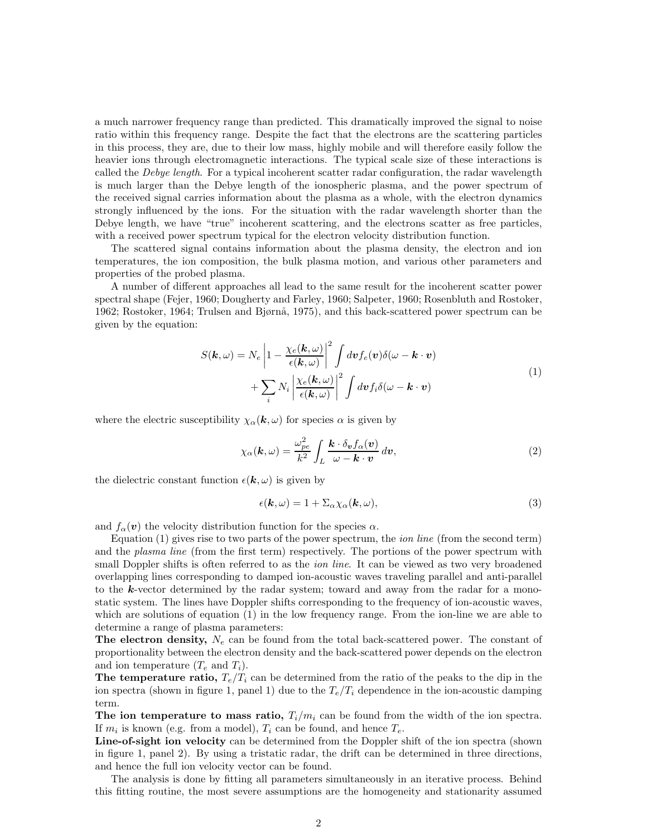a much narrower frequency range than predicted. This dramatically improved the signal to noise ratio within this frequency range. Despite the fact that the electrons are the scattering particles in this process, they are, due to their low mass, highly mobile and will therefore easily follow the heavier ions through electromagnetic interactions. The typical scale size of these interactions is called the *Debye length*. For a typical incoherent scatter radar configuration, the radar wavelength is much larger than the Debye length of the ionospheric plasma, and the power spectrum of the received signal carries information about the plasma as a whole, with the electron dynamics strongly influenced by the ions. For the situation with the radar wavelength shorter than the Debye length, we have "true" incoherent scattering, and the electrons scatter as free particles, with a received power spectrum typical for the electron velocity distribution function.

The scattered signal contains information about the plasma density, the electron and ion temperatures, the ion composition, the bulk plasma motion, and various other parameters and properties of the probed plasma.

A number of different approaches all lead to the same result for the incoherent scatter power spectral shape (Fejer, 1960; Dougherty and Farley, 1960; Salpeter, 1960; Rosenbluth and Rostoker, 1962; Rostoker, 1964; Trulsen and Bjørnå, 1975), and this back-scattered power spectrum can be given by the equation:

$$
S(\mathbf{k}, \omega) = N_e \left| 1 - \frac{\chi_e(\mathbf{k}, \omega)}{\epsilon(\mathbf{k}, \omega)} \right|^2 \int dv f_e(\mathbf{v}) \delta(\omega - \mathbf{k} \cdot \mathbf{v}) + \sum_i N_i \left| \frac{\chi_e(\mathbf{k}, \omega)}{\epsilon(\mathbf{k}, \omega)} \right|^2 \int dv f_i \delta(\omega - \mathbf{k} \cdot \mathbf{v})
$$
\n(1)

where the electric susceptibility  $\chi_{\alpha}(\mathbf{k}, \omega)$  for species  $\alpha$  is given by

$$
\chi_{\alpha}(\mathbf{k},\omega) = \frac{\omega_{pe}^2}{k^2} \int_L \frac{\mathbf{k} \cdot \delta_v f_{\alpha}(\mathbf{v})}{\omega - \mathbf{k} \cdot \mathbf{v}} d\mathbf{v},\tag{2}
$$

the dielectric constant function  $\epsilon(\mathbf{k}, \omega)$  is given by

$$
\epsilon(\mathbf{k},\omega) = 1 + \Sigma_{\alpha}\chi_{\alpha}(\mathbf{k},\omega),\tag{3}
$$

and  $f_{\alpha}(v)$  the velocity distribution function for the species  $\alpha$ .

Equation  $(1)$  gives rise to two parts of the power spectrum, the *ion line* (from the second term) and the *plasma line* (from the first term) respectively. The portions of the power spectrum with small Doppler shifts is often referred to as the *ion line*. It can be viewed as two very broadened overlapping lines corresponding to damped ion-acoustic waves traveling parallel and anti-parallel to the  $k$ -vector determined by the radar system; toward and away from the radar for a monostatic system. The lines have Doppler shifts corresponding to the frequency of ion-acoustic waves, which are solutions of equation (1) in the low frequency range. From the ion-line we are able to determine a range of plasma parameters:

The electron density,  $N_e$  can be found from the total back-scattered power. The constant of proportionality between the electron density and the back-scattered power depends on the electron and ion temperature  $(T_e \text{ and } T_i)$ .

The temperature ratio,  $T_e/T_i$  can be determined from the ratio of the peaks to the dip in the ion spectra (shown in figure 1, panel 1) due to the  $T_e/T_i$  dependence in the ion-acoustic damping term.

The ion temperature to mass ratio,  $T_i/m_i$  can be found from the width of the ion spectra. If  $m_i$  is known (e.g. from a model),  $T_i$  can be found, and hence  $T_e$ .

Line-of-sight ion velocity can be determined from the Doppler shift of the ion spectra (shown in figure 1, panel 2). By using a tristatic radar, the drift can be determined in three directions, and hence the full ion velocity vector can be found.

The analysis is done by fitting all parameters simultaneously in an iterative process. Behind this fitting routine, the most severe assumptions are the homogeneity and stationarity assumed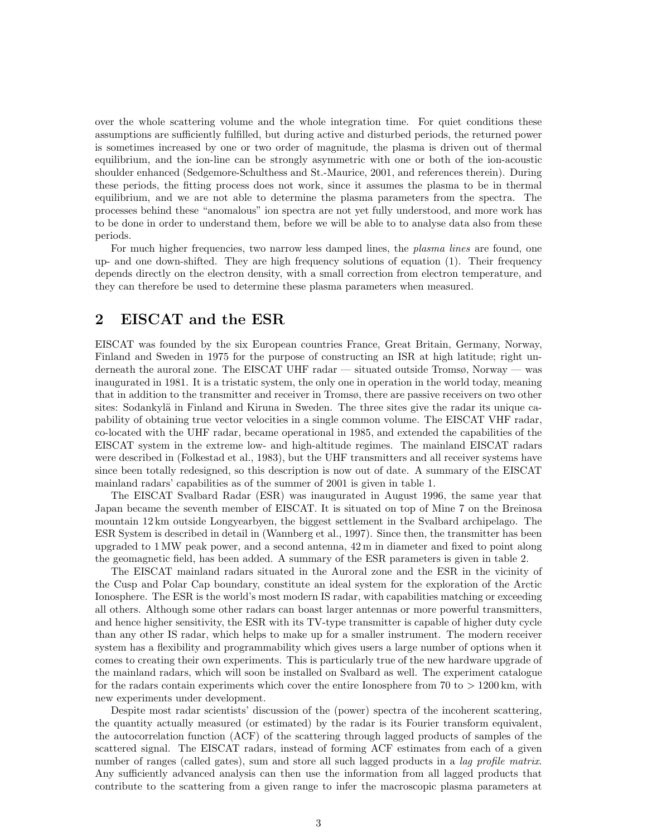over the whole scattering volume and the whole integration time. For quiet conditions these assumptions are sufficiently fulfilled, but during active and disturbed periods, the returned power is sometimes increased by one or two order of magnitude, the plasma is driven out of thermal equilibrium, and the ion-line can be strongly asymmetric with one or both of the ion-acoustic shoulder enhanced (Sedgemore-Schulthess and St.-Maurice, 2001, and references therein). During these periods, the fitting process does not work, since it assumes the plasma to be in thermal equilibrium, and we are not able to determine the plasma parameters from the spectra. The processes behind these "anomalous" ion spectra are not yet fully understood, and more work has to be done in order to understand them, before we will be able to to analyse data also from these periods.

For much higher frequencies, two narrow less damped lines, the *plasma lines* are found, one up- and one down-shifted. They are high frequency solutions of equation (1). Their frequency depends directly on the electron density, with a small correction from electron temperature, and they can therefore be used to determine these plasma parameters when measured.

# 2 EISCAT and the ESR

EISCAT was founded by the six European countries France, Great Britain, Germany, Norway, Finland and Sweden in 1975 for the purpose of constructing an ISR at high latitude; right underneath the auroral zone. The EISCAT UHF radar — situated outside Tromsø, Norway — was inaugurated in 1981. It is a tristatic system, the only one in operation in the world today, meaning that in addition to the transmitter and receiver in Tromsø, there are passive receivers on two other sites: Sodankylä in Finland and Kiruna in Sweden. The three sites give the radar its unique capability of obtaining true vector velocities in a single common volume. The EISCAT VHF radar, co-located with the UHF radar, became operational in 1985, and extended the capabilities of the EISCAT system in the extreme low- and high-altitude regimes. The mainland EISCAT radars were described in (Folkestad et al., 1983), but the UHF transmitters and all receiver systems have since been totally redesigned, so this description is now out of date. A summary of the EISCAT mainland radars' capabilities as of the summer of 2001 is given in table 1.

The EISCAT Svalbard Radar (ESR) was inaugurated in August 1996, the same year that Japan became the seventh member of EISCAT. It is situated on top of Mine 7 on the Breinosa mountain 12 km outside Longyearbyen, the biggest settlement in the Svalbard archipelago. The ESR System is described in detail in (Wannberg et al., 1997). Since then, the transmitter has been upgraded to 1 MW peak power, and a second antenna, 42 m in diameter and fixed to point along the geomagnetic field, has been added. A summary of the ESR parameters is given in table 2.

The EISCAT mainland radars situated in the Auroral zone and the ESR in the vicinity of the Cusp and Polar Cap boundary, constitute an ideal system for the exploration of the Arctic Ionosphere. The ESR is the world's most modern IS radar, with capabilities matching or exceeding all others. Although some other radars can boast larger antennas or more powerful transmitters, and hence higher sensitivity, the ESR with its TV-type transmitter is capable of higher duty cycle than any other IS radar, which helps to make up for a smaller instrument. The modern receiver system has a flexibility and programmability which gives users a large number of options when it comes to creating their own experiments. This is particularly true of the new hardware upgrade of the mainland radars, which will soon be installed on Svalbard as well. The experiment catalogue for the radars contain experiments which cover the entire Ionosphere from 70 to  $>1200 \,\mathrm{km}$ , with new experiments under development.

Despite most radar scientists' discussion of the (power) spectra of the incoherent scattering, the quantity actually measured (or estimated) by the radar is its Fourier transform equivalent, the autocorrelation function (ACF) of the scattering through lagged products of samples of the scattered signal. The EISCAT radars, instead of forming ACF estimates from each of a given number of ranges (called gates), sum and store all such lagged products in a *lag profile matrix*. Any sufficiently advanced analysis can then use the information from all lagged products that contribute to the scattering from a given range to infer the macroscopic plasma parameters at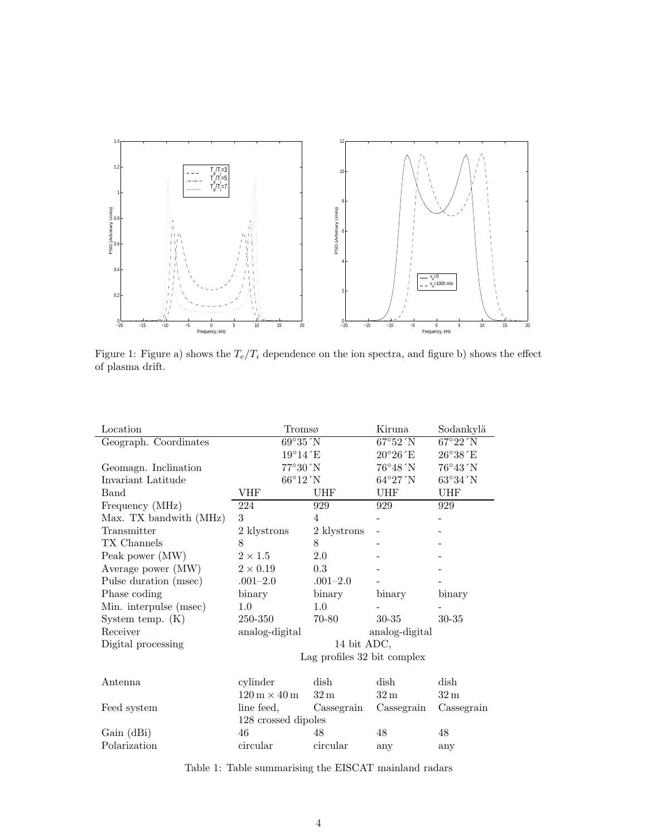

Figure 1: Figure a) shows the  $T_e/T_i$  dependence on the ion spectra, and figure b) shows the effect of plasma drift.

| Location               | Tromsø                                    |                 | Kiruna            | Sodankylä                 |
|------------------------|-------------------------------------------|-----------------|-------------------|---------------------------|
| Geograph. Coordinates  | 69°35'N                                   |                 | 67°52'N           | 67°22'N                   |
|                        | $19^{\circ}14^{\prime}$ E                 |                 | $20^{\circ}26$ E  | $26^{\circ}38^{\prime}$ E |
| Geomagn. Inclination   | $77^{\circ}30^{\prime}N$                  |                 | $76^{\circ}48'$ N | $76^{\circ}43'$ N         |
| Invariant Latitude     | 66°12'N                                   |                 | $64^{\circ}27'$ N | $63^{\circ}34^{\prime}N$  |
| Band                   | VHF                                       | UHF             | UHF               | UHF                       |
| Frequency (MHz)        | 224                                       | 929             | 929               | 929                       |
| Max. TX bandwith (MHz) | 3                                         | 4               |                   |                           |
| Transmitter            | 2 klystrons                               | 2 klystrons     |                   |                           |
| TX Channels            | 8                                         | 8               |                   |                           |
| Peak power (MW)        | $2 \times 1.5$                            | 2.0             |                   |                           |
| Average power (MW)     | $2 \times 0.19$                           | 0.3             |                   |                           |
| Pulse duration (msec)  | $.001 - 2.0$                              | $.001 - 2.0$    |                   |                           |
| Phase coding           | binary                                    | binary          | binary            | binary                    |
| Min. interpulse (msec) | $1.0\,$                                   | $1.0\,$         |                   |                           |
| System temp. $(K)$     | 250-350                                   | 70-80           | $30 - 35$         | $30 - 35$                 |
| Receiver               | analog-digital                            |                 | analog-digital    |                           |
| Digital processing     | 14 bit ADC,                               |                 |                   |                           |
|                        | Lag profiles 32 bit complex               |                 |                   |                           |
| Antenna                | cylinder                                  | dish            | dish              | dish                      |
|                        | $120 \,\mathrm{m} \times 40 \,\mathrm{m}$ | 32 <sub>m</sub> | 32 <sub>m</sub>   | $32 \,\mathrm{m}$         |
| Feed system            | line feed,                                | Cassegrain      | Cassegrain        | Cassegrain                |
|                        | 128 crossed dipoles                       |                 |                   |                           |
| Gain (dBi)             | 46<br>48<br>48<br>48                      |                 |                   |                           |
| Polarization           | circular                                  | circular        |                   |                           |
|                        |                                           |                 | any               | any                       |

Table 1: Table summarising the EISCAT mainland radars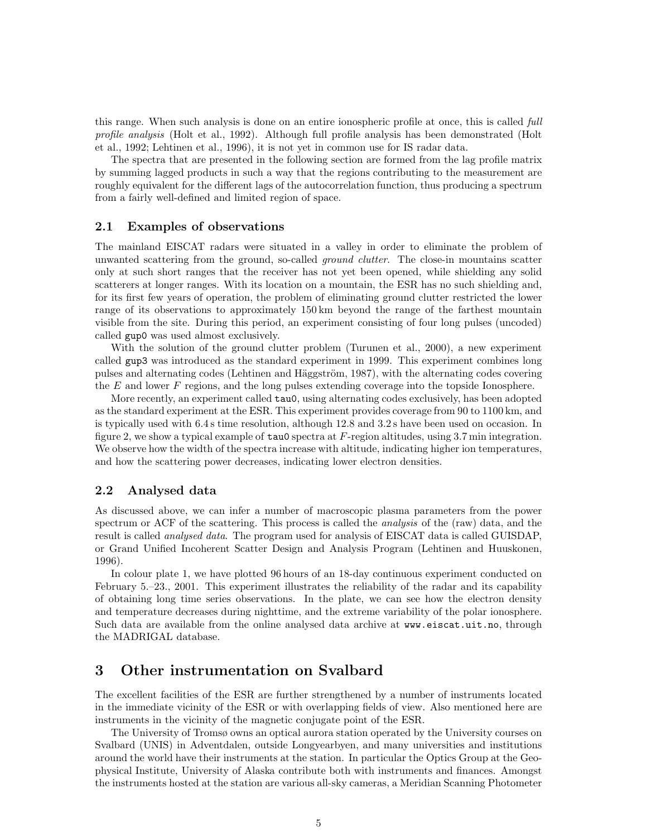this range. When such analysis is done on an entire ionospheric profile at once, this is called *full* profile analysis (Holt et al., 1992). Although full profile analysis has been demonstrated (Holt et al., 1992; Lehtinen et al., 1996), it is not yet in common use for IS radar data.

The spectra that are presented in the following section are formed from the lag profile matrix by summing lagged products in such a way that the regions contributing to the measurement are roughly equivalent for the different lags of the autocorrelation function, thus producing a spectrum from a fairly well-defined and limited region of space.

#### 2.1 Examples of observations

The mainland EISCAT radars were situated in a valley in order to eliminate the problem of unwanted scattering from the ground, so-called *ground clutter*. The close-in mountains scatter only at such short ranges that the receiver has not yet been opened, while shielding any solid scatterers at longer ranges. With its location on a mountain, the ESR has no such shielding and, for its first few years of operation, the problem of eliminating ground clutter restricted the lower range of its observations to approximately 150 km beyond the range of the farthest mountain visible from the site. During this period, an experiment consisting of four long pulses (uncoded) called gup0 was used almost exclusively.

With the solution of the ground clutter problem (Turunen et al., 2000), a new experiment called gup3 was introduced as the standard experiment in 1999. This experiment combines long pulses and alternating codes (Lehtinen and Häggström, 1987), with the alternating codes covering the E and lower F regions, and the long pulses extending coverage into the topside Ionosphere.

More recently, an experiment called tau0, using alternating codes exclusively, has been adopted as the standard experiment at the ESR. This experiment provides coverage from 90 to 1100 km, and is typically used with 6.4 s time resolution, although 12.8 and 3.2 s have been used on occasion. In figure 2, we show a typical example of  $tan 0$  spectra at  $F$ -region altitudes, using 3.7 min integration. We observe how the width of the spectra increase with altitude, indicating higher ion temperatures, and how the scattering power decreases, indicating lower electron densities.

#### 2.2 Analysed data

As discussed above, we can infer a number of macroscopic plasma parameters from the power spectrum or ACF of the scattering. This process is called the *analysis* of the (raw) data, and the result is called *analysed data*. The program used for analysis of EISCAT data is called GUISDAP, or Grand Unified Incoherent Scatter Design and Analysis Program (Lehtinen and Huuskonen, 1996).

In colour plate 1, we have plotted 96 hours of an 18-day continuous experiment conducted on February 5.–23., 2001. This experiment illustrates the reliability of the radar and its capability of obtaining long time series observations. In the plate, we can see how the electron density and temperature decreases during nighttime, and the extreme variability of the polar ionosphere. Such data are available from the online analysed data archive at www.eiscat.uit.no, through the MADRIGAL database.

## 3 Other instrumentation on Svalbard

The excellent facilities of the ESR are further strengthened by a number of instruments located in the immediate vicinity of the ESR or with overlapping fields of view. Also mentioned here are instruments in the vicinity of the magnetic conjugate point of the ESR.

The University of Tromsø owns an optical aurora station operated by the University courses on Svalbard (UNIS) in Adventdalen, outside Longyearbyen, and many universities and institutions around the world have their instruments at the station. In particular the Optics Group at the Geophysical Institute, University of Alaska contribute both with instruments and finances. Amongst the instruments hosted at the station are various all-sky cameras, a Meridian Scanning Photometer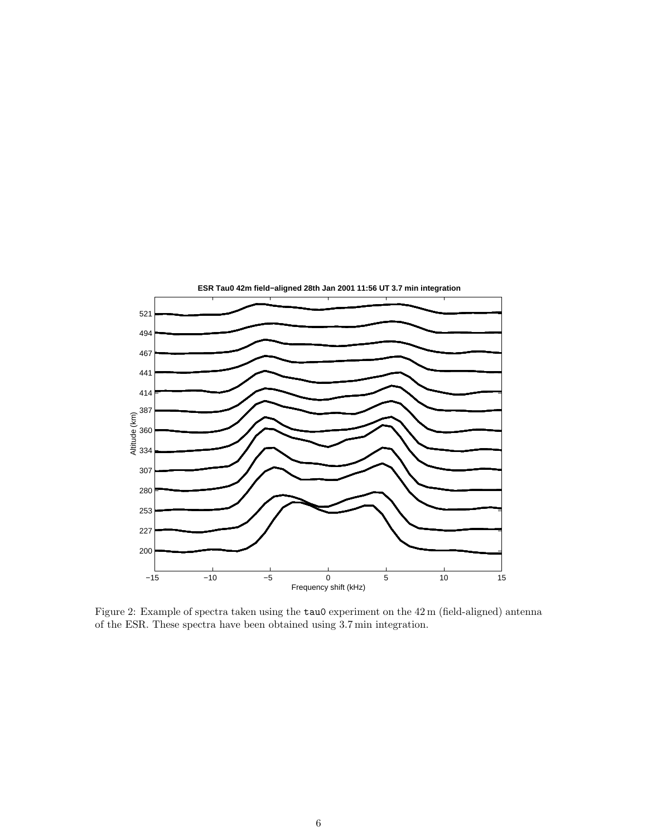

Figure 2: Example of spectra taken using the  $tau0$  experiment on the 42 m (field-aligned) antenna of the ESR. These spectra have been obtained using 3.7 min integration.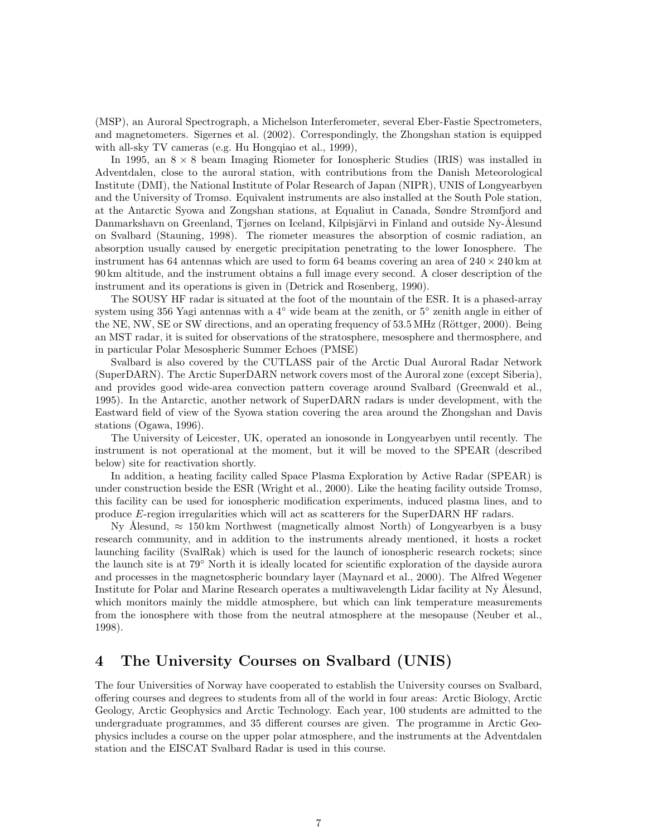(MSP), an Auroral Spectrograph, a Michelson Interferometer, several Eber-Fastie Spectrometers, and magnetometers. Sigernes et al. (2002). Correspondingly, the Zhongshan station is equipped with all-sky TV cameras (e.g. Hu Hongqiao et al., 1999),

In 1995, an  $8 \times 8$  beam Imaging Riometer for Ionospheric Studies (IRIS) was installed in Adventdalen, close to the auroral station, with contributions from the Danish Meteorological Institute (DMI), the National Institute of Polar Research of Japan (NIPR), UNIS of Longyearbyen and the University of Tromsø. Equivalent instruments are also installed at the South Pole station, at the Antarctic Syowa and Zongshan stations, at Equaliut in Canada, Søndre Strømfjord and Danmarkshavn on Greenland, Tjørnes on Iceland, Kilpisjärvi in Finland and outside Ny-Ålesund on Svalbard (Stauning, 1998). The riometer measures the absorption of cosmic radiation, an absorption usually caused by energetic precipitation penetrating to the lower Ionosphere. The instrument has 64 antennas which are used to form 64 beams covering an area of  $240 \times 240$  km at 90 km altitude, and the instrument obtains a full image every second. A closer description of the instrument and its operations is given in (Detrick and Rosenberg, 1990).

The SOUSY HF radar is situated at the foot of the mountain of the ESR. It is a phased-array system using 356 Yagi antennas with a 4<sup>°</sup> wide beam at the zenith, or 5<sup>°</sup> zenith angle in either of the NE, NW, SE or SW directions, and an operating frequency of 53.5 MHz (Röttger, 2000). Being an MST radar, it is suited for observations of the stratosphere, mesosphere and thermosphere, and in particular Polar Mesospheric Summer Echoes (PMSE)

Svalbard is also covered by the CUTLASS pair of the Arctic Dual Auroral Radar Network (SuperDARN). The Arctic SuperDARN network covers most of the Auroral zone (except Siberia), and provides good wide-area convection pattern coverage around Svalbard (Greenwald et al., 1995). In the Antarctic, another network of SuperDARN radars is under development, with the Eastward field of view of the Syowa station covering the area around the Zhongshan and Davis stations (Ogawa, 1996).

The University of Leicester, UK, operated an ionosonde in Longyearbyen until recently. The instrument is not operational at the moment, but it will be moved to the SPEAR (described below) site for reactivation shortly.

In addition, a heating facility called Space Plasma Exploration by Active Radar (SPEAR) is under construction beside the ESR (Wright et al., 2000). Like the heating facility outside Tromsø, this facility can be used for ionospheric modification experiments, induced plasma lines, and to produce E-region irregularities which will act as scatterers for the SuperDARN HF radars.

Ny Ålesund,  $\approx 150 \,\mathrm{km}$  Northwest (magnetically almost North) of Longyearbyen is a busy research community, and in addition to the instruments already mentioned, it hosts a rocket launching facility (SvalRak) which is used for the launch of ionospheric research rockets; since the launch site is at 79◦ North it is ideally located for scientific exploration of the dayside aurora and processes in the magnetospheric boundary layer (Maynard et al., 2000). The Alfred Wegener Institute for Polar and Marine Research operates a multiwavelength Lidar facility at Ny Ålesund, which monitors mainly the middle atmosphere, but which can link temperature measurements from the ionosphere with those from the neutral atmosphere at the mesopause (Neuber et al., 1998).

## 4 The University Courses on Svalbard (UNIS)

The four Universities of Norway have cooperated to establish the University courses on Svalbard, offering courses and degrees to students from all of the world in four areas: Arctic Biology, Arctic Geology, Arctic Geophysics and Arctic Technology. Each year, 100 students are admitted to the undergraduate programmes, and 35 different courses are given. The programme in Arctic Geophysics includes a course on the upper polar atmosphere, and the instruments at the Adventdalen station and the EISCAT Svalbard Radar is used in this course.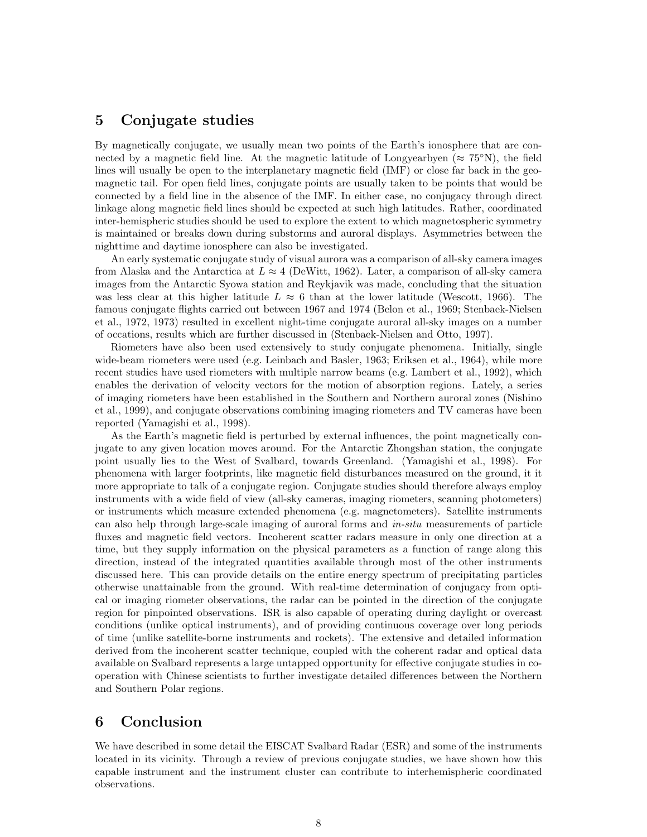#### 5 Conjugate studies

By magnetically conjugate, we usually mean two points of the Earth's ionosphere that are connected by a magnetic field line. At the magnetic latitude of Longyearbyen ( $\approx 75^{\circ}$ N), the field lines will usually be open to the interplanetary magnetic field (IMF) or close far back in the geomagnetic tail. For open field lines, conjugate points are usually taken to be points that would be connected by a field line in the absence of the IMF. In either case, no conjugacy through direct linkage along magnetic field lines should be expected at such high latitudes. Rather, coordinated inter-hemispheric studies should be used to explore the extent to which magnetospheric symmetry is maintained or breaks down during substorms and auroral displays. Asymmetries between the nighttime and daytime ionosphere can also be investigated.

An early systematic conjugate study of visual aurora was a comparison of all-sky camera images from Alaska and the Antarctica at  $L \approx 4$  (DeWitt, 1962). Later, a comparison of all-sky camera images from the Antarctic Syowa station and Reykjavik was made, concluding that the situation was less clear at this higher latitude  $L \approx 6$  than at the lower latitude (Wescott, 1966). The famous conjugate flights carried out between 1967 and 1974 (Belon et al., 1969; Stenbaek-Nielsen et al., 1972, 1973) resulted in excellent night-time conjugate auroral all-sky images on a number of occations, results which are further discussed in (Stenbaek-Nielsen and Otto, 1997).

Riometers have also been used extensively to study conjugate phenomena. Initially, single wide-beam riometers were used (e.g. Leinbach and Basler, 1963; Eriksen et al., 1964), while more recent studies have used riometers with multiple narrow beams (e.g. Lambert et al., 1992), which enables the derivation of velocity vectors for the motion of absorption regions. Lately, a series of imaging riometers have been established in the Southern and Northern auroral zones (Nishino et al., 1999), and conjugate observations combining imaging riometers and TV cameras have been reported (Yamagishi et al., 1998).

As the Earth's magnetic field is perturbed by external influences, the point magnetically conjugate to any given location moves around. For the Antarctic Zhongshan station, the conjugate point usually lies to the West of Svalbard, towards Greenland. (Yamagishi et al., 1998). For phenomena with larger footprints, like magnetic field disturbances measured on the ground, it it more appropriate to talk of a conjugate region. Conjugate studies should therefore always employ instruments with a wide field of view (all-sky cameras, imaging riometers, scanning photometers) or instruments which measure extended phenomena (e.g. magnetometers). Satellite instruments can also help through large-scale imaging of auroral forms and in-situ measurements of particle fluxes and magnetic field vectors. Incoherent scatter radars measure in only one direction at a time, but they supply information on the physical parameters as a function of range along this direction, instead of the integrated quantities available through most of the other instruments discussed here. This can provide details on the entire energy spectrum of precipitating particles otherwise unattainable from the ground. With real-time determination of conjugacy from optical or imaging riometer observations, the radar can be pointed in the direction of the conjugate region for pinpointed observations. ISR is also capable of operating during daylight or overcast conditions (unlike optical instruments), and of providing continuous coverage over long periods of time (unlike satellite-borne instruments and rockets). The extensive and detailed information derived from the incoherent scatter technique, coupled with the coherent radar and optical data available on Svalbard represents a large untapped opportunity for effective conjugate studies in cooperation with Chinese scientists to further investigate detailed differences between the Northern and Southern Polar regions.

#### 6 Conclusion

We have described in some detail the EISCAT Svalbard Radar (ESR) and some of the instruments located in its vicinity. Through a review of previous conjugate studies, we have shown how this capable instrument and the instrument cluster can contribute to interhemispheric coordinated observations.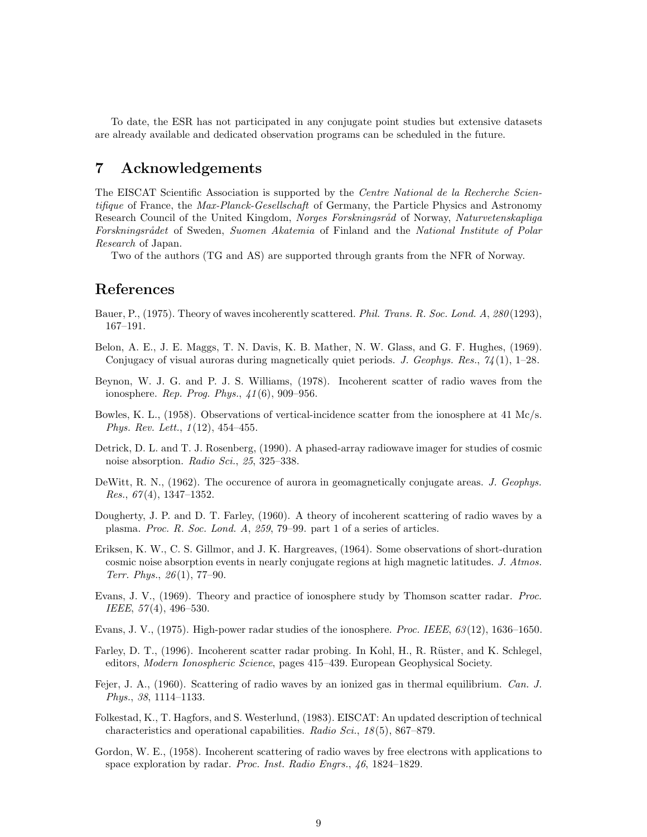To date, the ESR has not participated in any conjugate point studies but extensive datasets are already available and dedicated observation programs can be scheduled in the future.

## 7 Acknowledgements

The EISCAT Scientific Association is supported by the *Centre National de la Recherche Scien*tifique of France, the *Max-Planck-Gesellschaft* of Germany, the Particle Physics and Astronomy Research Council of the United Kingdom, Norges Forskningsråd of Norway, Naturvetenskapliga Forskningsrådet of Sweden, Suomen Akatemia of Finland and the National Institute of Polar Research of Japan.

Two of the authors (TG and AS) are supported through grants from the NFR of Norway.

# References

- Bauer, P., (1975). Theory of waves incoherently scattered. Phil. Trans. R. Soc. Lond. A, 280(1293), 167–191.
- Belon, A. E., J. E. Maggs, T. N. Davis, K. B. Mather, N. W. Glass, and G. F. Hughes, (1969). Conjugacy of visual auroras during magnetically quiet periods. J. Geophys. Res.,  $74(1)$ , 1–28.
- Beynon, W. J. G. and P. J. S. Williams, (1978). Incoherent scatter of radio waves from the ionosphere. Rep. Prog. Phys., 41(6), 909–956.
- Bowles, K. L., (1958). Observations of vertical-incidence scatter from the ionosphere at 41 Mc/s. Phys. Rev. Lett., 1(12), 454–455.
- Detrick, D. L. and T. J. Rosenberg, (1990). A phased-array radiowave imager for studies of cosmic noise absorption. Radio Sci., 25, 325–338.
- DeWitt, R. N., (1962). The occurence of aurora in geomagnetically conjugate areas. J. Geophys. *Res.*,  $67(4)$ , 1347–1352.
- Dougherty, J. P. and D. T. Farley, (1960). A theory of incoherent scattering of radio waves by a plasma. Proc. R. Soc. Lond. A, 259, 79–99. part 1 of a series of articles.
- Eriksen, K. W., C. S. Gillmor, and J. K. Hargreaves, (1964). Some observations of short-duration cosmic noise absorption events in nearly conjugate regions at high magnetic latitudes. J. Atmos. Terr. Phys., 26(1), 77–90.
- Evans, J. V., (1969). Theory and practice of ionosphere study by Thomson scatter radar. *Proc.* IEEE, 57(4), 496–530.
- Evans, J. V.,  $(1975)$ . High-power radar studies of the ionosphere. *Proc. IEEE*,  $63(12)$ , 1636–1650.
- Farley, D. T., (1996). Incoherent scatter radar probing. In Kohl, H., R. Rüster, and K. Schlegel, editors, Modern Ionospheric Science, pages 415–439. European Geophysical Society.
- Fejer, J. A., (1960). Scattering of radio waves by an ionized gas in thermal equilibrium. Can. J. Phys., 38, 1114–1133.
- Folkestad, K., T. Hagfors, and S. Westerlund, (1983). EISCAT: An updated description of technical characteristics and operational capabilities. Radio Sci., 18(5), 867–879.
- Gordon, W. E., (1958). Incoherent scattering of radio waves by free electrons with applications to space exploration by radar. Proc. Inst. Radio Engrs., 46, 1824–1829.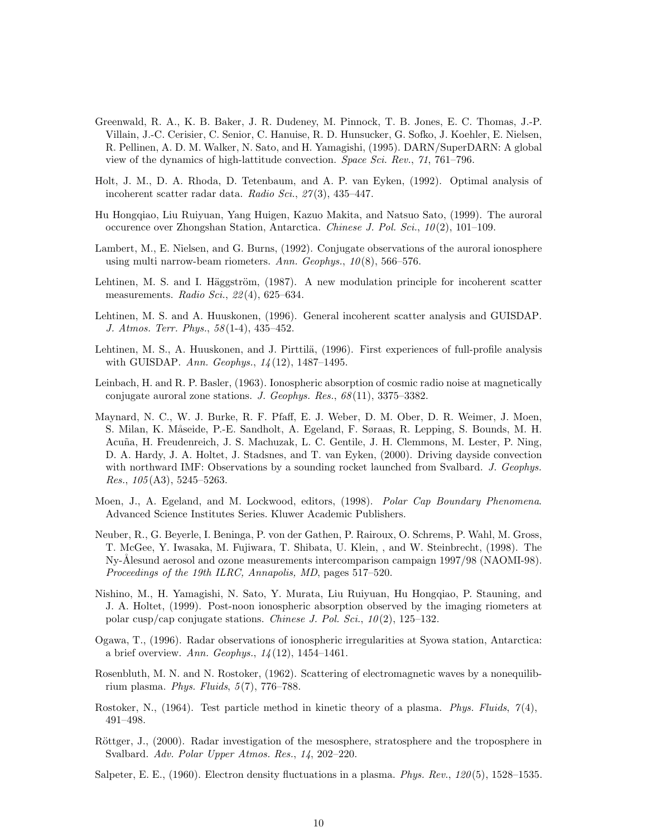- Greenwald, R. A., K. B. Baker, J. R. Dudeney, M. Pinnock, T. B. Jones, E. C. Thomas, J.-P. Villain, J.-C. Cerisier, C. Senior, C. Hanuise, R. D. Hunsucker, G. Sofko, J. Koehler, E. Nielsen, R. Pellinen, A. D. M. Walker, N. Sato, and H. Yamagishi, (1995). DARN/SuperDARN: A global view of the dynamics of high-lattitude convection. Space Sci. Rev., 71, 761–796.
- Holt, J. M., D. A. Rhoda, D. Tetenbaum, and A. P. van Eyken, (1992). Optimal analysis of incoherent scatter radar data. Radio Sci., 27(3), 435–447.
- Hu Hongqiao, Liu Ruiyuan, Yang Huigen, Kazuo Makita, and Natsuo Sato, (1999). The auroral occurence over Zhongshan Station, Antarctica. Chinese J. Pol. Sci., 10(2), 101–109.
- Lambert, M., E. Nielsen, and G. Burns, (1992). Conjugate observations of the auroral ionosphere using multi narrow-beam riometers. Ann. Geophys.,  $10(8)$ , 566–576.
- Lehtinen, M. S. and I. Häggström, (1987). A new modulation principle for incoherent scatter measurements. Radio Sci., 22(4), 625-634.
- Lehtinen, M. S. and A. Huuskonen, (1996). General incoherent scatter analysis and GUISDAP. J. Atmos. Terr. Phys., 58(1-4), 435–452.
- Lehtinen, M. S., A. Huuskonen, and J. Pirttilä, (1996). First experiences of full-profile analysis with GUISDAP. Ann. Geophys., 14(12), 1487–1495.
- Leinbach, H. and R. P. Basler, (1963). Ionospheric absorption of cosmic radio noise at magnetically conjugate auroral zone stations. J. Geophys. Res., 68(11), 3375–3382.
- Maynard, N. C., W. J. Burke, R. F. Pfaff, E. J. Weber, D. M. Ober, D. R. Weimer, J. Moen, S. Milan, K. Måseide, P.-E. Sandholt, A. Egeland, F. Søraas, R. Lepping, S. Bounds, M. H. Acuña, H. Freudenreich, J. S. Machuzak, L. C. Gentile, J. H. Clemmons, M. Lester, P. Ning, D. A. Hardy, J. A. Holtet, J. Stadsnes, and T. van Eyken, (2000). Driving dayside convection with northward IMF: Observations by a sounding rocket launched from Svalbard. J. Geophys. *Res.*,  $105(A3)$ ,  $5245-5263$ .
- Moen, J., A. Egeland, and M. Lockwood, editors, (1998). Polar Cap Boundary Phenomena. Advanced Science Institutes Series. Kluwer Academic Publishers.
- Neuber, R., G. Beyerle, I. Beninga, P. von der Gathen, P. Rairoux, O. Schrems, P. Wahl, M. Gross, T. McGee, Y. Iwasaka, M. Fujiwara, T. Shibata, U. Klein, , and W. Steinbrecht, (1998). The Ny-Ålesund aerosol and ozone measurements intercomparison campaign 1997/98 (NAOMI-98). Proceedings of the 19th ILRC, Annapolis, MD, pages 517–520.
- Nishino, M., H. Yamagishi, N. Sato, Y. Murata, Liu Ruiyuan, Hu Hongqiao, P. Stauning, and J. A. Holtet, (1999). Post-noon ionospheric absorption observed by the imaging riometers at polar cusp/cap conjugate stations. Chinese J. Pol. Sci.,  $10(2)$ ,  $125-132$ .
- Ogawa, T., (1996). Radar observations of ionospheric irregularities at Syowa station, Antarctica: a brief overview. Ann. Geophys., 14(12), 1454–1461.
- Rosenbluth, M. N. and N. Rostoker, (1962). Scattering of electromagnetic waves by a nonequilibrium plasma. Phys. Fluids, 5(7), 776–788.
- Rostoker, N., (1964). Test particle method in kinetic theory of a plasma. Phys. Fluids,  $7(4)$ , 491–498.
- Röttger, J., (2000). Radar investigation of the mesosphere, stratosphere and the troposphere in Svalbard. Adv. Polar Upper Atmos. Res., 14, 202–220.
- Salpeter, E. E., (1960). Electron density fluctuations in a plasma. *Phys. Rev.*,  $120(5)$ , 1528–1535.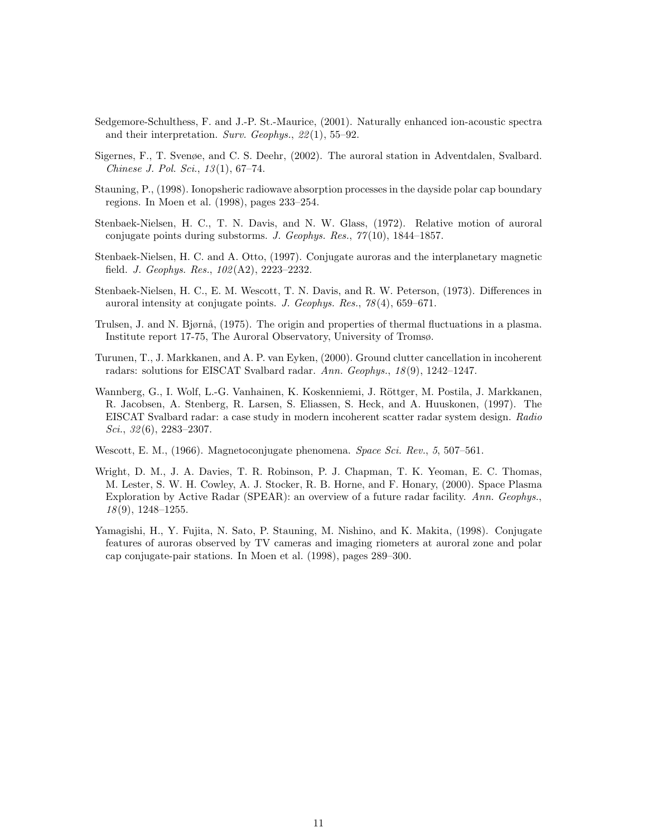- Sedgemore-Schulthess, F. and J.-P. St.-Maurice, (2001). Naturally enhanced ion-acoustic spectra and their interpretation. Surv. Geophys., 22(1), 55–92.
- Sigernes, F., T. Svenøe, and C. S. Deehr, (2002). The auroral station in Adventdalen, Svalbard. Chinese J. Pol. Sci., 13(1), 67–74.
- Stauning, P., (1998). Ionopsheric radiowave absorption processes in the dayside polar cap boundary regions. In Moen et al. (1998), pages 233–254.
- Stenbaek-Nielsen, H. C., T. N. Davis, and N. W. Glass, (1972). Relative motion of auroral conjugate points during substorms. J. Geophys. Res., 77(10), 1844–1857.
- Stenbaek-Nielsen, H. C. and A. Otto, (1997). Conjugate auroras and the interplanetary magnetic field. J. Geophys. Res., 102(A2), 2223–2232.
- Stenbaek-Nielsen, H. C., E. M. Wescott, T. N. Davis, and R. W. Peterson, (1973). Differences in auroral intensity at conjugate points. J. Geophys. Res., 78(4), 659–671.
- Trulsen, J. and N. Bjørnå, (1975). The origin and properties of thermal fluctuations in a plasma. Institute report 17-75, The Auroral Observatory, University of Tromsø.
- Turunen, T., J. Markkanen, and A. P. van Eyken, (2000). Ground clutter cancellation in incoherent radars: solutions for EISCAT Svalbard radar. Ann. Geophys., 18(9), 1242–1247.
- Wannberg, G., I. Wolf, L.-G. Vanhainen, K. Koskenniemi, J. Röttger, M. Postila, J. Markkanen, R. Jacobsen, A. Stenberg, R. Larsen, S. Eliassen, S. Heck, and A. Huuskonen, (1997). The EISCAT Svalbard radar: a case study in modern incoherent scatter radar system design. Radio Sci., 32(6), 2283-2307.
- Wescott, E. M., (1966). Magnetoconjugate phenomena. Space Sci. Rev., 5, 507–561.
- Wright, D. M., J. A. Davies, T. R. Robinson, P. J. Chapman, T. K. Yeoman, E. C. Thomas, M. Lester, S. W. H. Cowley, A. J. Stocker, R. B. Horne, and F. Honary, (2000). Space Plasma Exploration by Active Radar (SPEAR): an overview of a future radar facility. Ann. Geophys.,  $18(9)$ , 1248-1255.
- Yamagishi, H., Y. Fujita, N. Sato, P. Stauning, M. Nishino, and K. Makita, (1998). Conjugate features of auroras observed by TV cameras and imaging riometers at auroral zone and polar cap conjugate-pair stations. In Moen et al. (1998), pages 289–300.